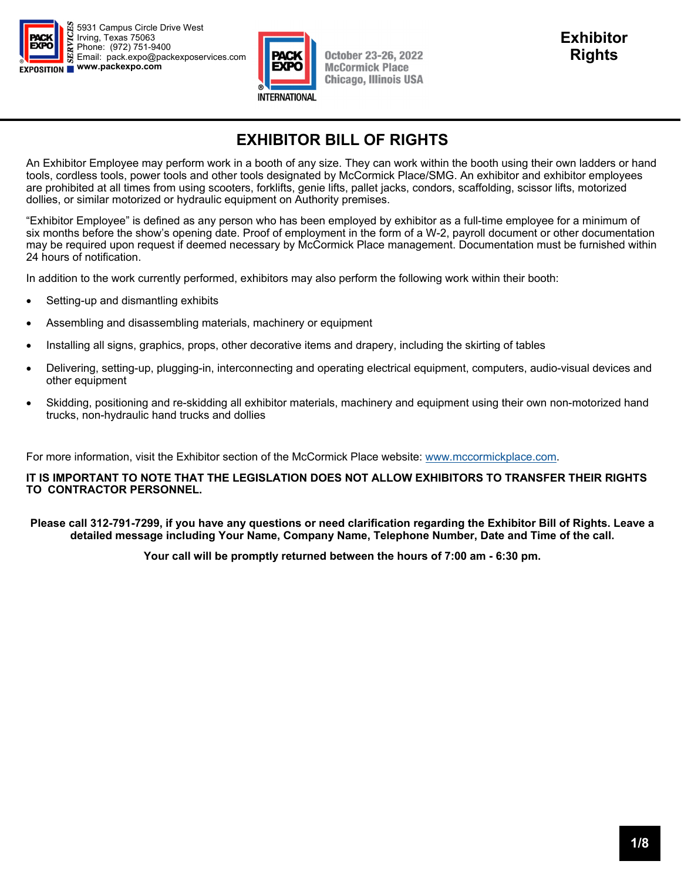



## **EXHIBITOR BILL OF RIGHTS**

An Exhibitor Employee may perform work in a booth of any size. They can work within the booth using their own ladders or hand tools, cordless tools, power tools and other tools designated by McCormick Place/SMG. An exhibitor and exhibitor employees are prohibited at all times from using scooters, forklifts, genie lifts, pallet jacks, condors, scaffolding, scissor lifts, motorized dollies, or similar motorized or hydraulic equipment on Authority premises.

"Exhibitor Employee" is defined as any person who has been employed by exhibitor as a full-time employee for a minimum of six months before the show's opening date. Proof of employment in the form of a W-2, payroll document or other documentation may be required upon request if deemed necessary by McCormick Place management. Documentation must be furnished within 24 hours of notification.

In addition to the work currently performed, exhibitors may also perform the following work within their booth:

- Setting-up and dismantling exhibits
- Assembling and disassembling materials, machinery or equipment
- Installing all signs, graphics, props, other decorative items and drapery, including the skirting of tables
- Delivering, setting-up, plugging-in, interconnecting and operating electrical equipment, computers, audio-visual devices and other equipment
- Skidding, positioning and re-skidding all exhibitor materials, machinery and equipment using their own non-motorized hand trucks, non-hydraulic hand trucks and dollies

For more information, visit the Exhibitor section of the McCormick Place website: www.mccormickplace.com.

#### **IT IS IMPORTANT TO NOTE THAT THE LEGISLATION DOES NOT ALLOW EXHIBITORS TO TRANSFER THEIR RIGHTS TO CONTRACTOR PERSONNEL.**

**Please call 312-791-7299, if you have any questions or need clarification regarding the Exhibitor Bill of Rights. Leave a detailed message including Your Name, Company Name, Telephone Number, Date and Time of the call.** 

**Your call will be promptly returned between the hours of 7:00 am - 6:30 pm.**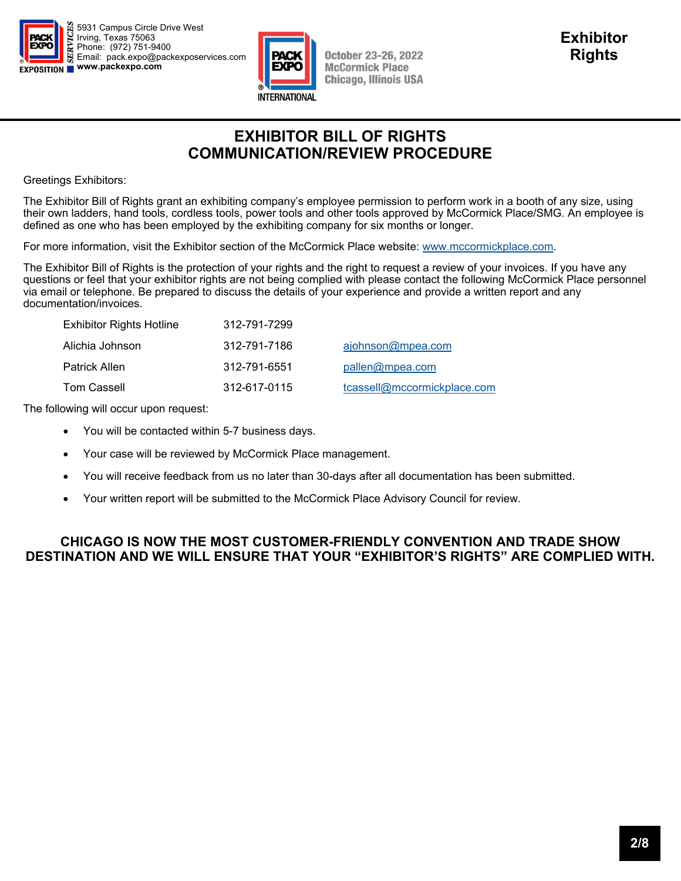



### **EXHIBITOR BILL OF RIGHTS COMMUNICATION/REVIEW PROCEDURE**

Greetings Exhibitors:

The Exhibitor Bill of Rights grant an exhibiting company's employee permission to perform work in a booth of any size, using their own ladders, hand tools, cordless tools, power tools and other tools approved by McCormick Place/SMG. An employee is defined as one who has been employed by the exhibiting company for six months or longer.

For more information, visit the Exhibitor section of the McCormick Place website: www.mccormickplace.com.

The Exhibitor Bill of Rights is the protection of your rights and the right to request a review of your invoices. If you have any questions or feel that your exhibitor rights are not being complied with please contact the following McCormick Place personnel via email or telephone. Be prepared to discuss the details of your experience and provide a written report and any documentation/invoices.

| <b>Exhibitor Rights Hotline</b> | 312-791-7299 |                             |
|---------------------------------|--------------|-----------------------------|
| Alichia Johnson                 | 312-791-7186 | ajohnson@mpea.com           |
| Patrick Allen                   | 312-791-6551 | pallen@mpea.com             |
| Tom Cassell                     | 312-617-0115 | tcassell@mccormickplace.com |

The following will occur upon request:

- You will be contacted within 5-7 business days.
- Your case will be reviewed by McCormick Place management.
- You will receive feedback from us no later than 30-days after all documentation has been submitted.
- Your written report will be submitted to the McCormick Place Advisory Council for review.

#### **CHICAGO IS NOW THE MOST CUSTOMER-FRIENDLY CONVENTION AND TRADE SHOW DESTINATION AND WE WILL ENSURE THAT YOUR "EXHIBITOR'S RIGHTS" ARE COMPLIED WITH.**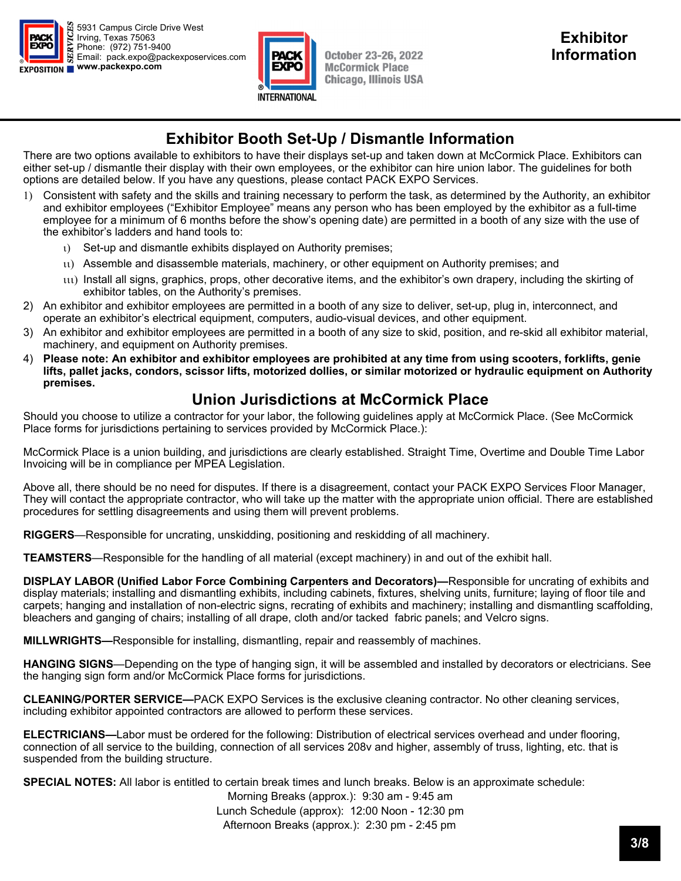



### **Exhibitor Booth Set-Up / Dismantle Information**

There are two options available to exhibitors to have their displays set-up and taken down at McCormick Place. Exhibitors can either set-up / dismantle their display with their own employees, or the exhibitor can hire union labor. The guidelines for both options are detailed below. If you have any questions, please contact PACK EXPO Services.

- Consistent with safety and the skills and training necessary to perform the task, as determined by the Authority, an exhibitor and exhibitor employees ("Exhibitor Employee" means any person who has been employed by the exhibitor as a full-time employee for a minimum of 6 months before the show's opening date) are permitted in a booth of any size with the use of the exhibitor's ladders and hand tools to:
	- Set-up and dismantle exhibits displayed on Authority premises;
	- Assemble and disassemble materials, machinery, or other equipment on Authority premises; and
	- $\mathfrak{u}$ ) Install all signs, graphics, props, other decorative items, and the exhibitor's own drapery, including the skirting of exhibitor tables, on the Authority's premises.
- 2) An exhibitor and exhibitor employees are permitted in a booth of any size to deliver, set-up, plug in, interconnect, and operate an exhibitor's electrical equipment, computers, audio-visual devices, and other equipment.
- 3) An exhibitor and exhibitor employees are permitted in a booth of any size to skid, position, and re-skid all exhibitor material, machinery, and equipment on Authority premises.
- 4) **Please note: An exhibitor and exhibitor employees are prohibited at any time from using scooters, forklifts, genie lifts, pallet jacks, condors, scissor lifts, motorized dollies, or similar motorized or hydraulic equipment on Authority premises.**

## **Union Jurisdictions at McCormick Place**

Should you choose to utilize a contractor for your labor, the following guidelines apply at McCormick Place. (See McCormick Place forms for jurisdictions pertaining to services provided by McCormick Place.):

McCormick Place is a union building, and jurisdictions are clearly established. Straight Time, Overtime and Double Time Labor Invoicing will be in compliance per MPEA Legislation.

Above all, there should be no need for disputes. If there is a disagreement, contact your PACK EXPO Services Floor Manager, They will contact the appropriate contractor, who will take up the matter with the appropriate union official. There are established procedures for settling disagreements and using them will prevent problems.

**RIGGERS**—Responsible for uncrating, unskidding, positioning and reskidding of all machinery.

**TEAMSTERS**—Responsible for the handling of all material (except machinery) in and out of the exhibit hall.

**DISPLAY LABOR (Unified Labor Force Combining Carpenters and Decorators)—**Responsible for uncrating of exhibits and display materials; installing and dismantling exhibits, including cabinets, fixtures, shelving units, furniture; laying of floor tile and carpets; hanging and installation of non-electric signs, recrating of exhibits and machinery; installing and dismantling scaffolding, bleachers and ganging of chairs; installing of all drape, cloth and/or tacked fabric panels; and Velcro signs.

**MILLWRIGHTS—**Responsible for installing, dismantling, repair and reassembly of machines.

**HANGING SIGNS**—Depending on the type of hanging sign, it will be assembled and installed by decorators or electricians. See the hanging sign form and/or McCormick Place forms for jurisdictions.

**CLEANING/PORTER SERVICE—**PACK EXPO Services is the exclusive cleaning contractor. No other cleaning services, including exhibitor appointed contractors are allowed to perform these services.

**ELECTRICIANS—**Labor must be ordered for the following: Distribution of electrical services overhead and under flooring, connection of all service to the building, connection of all services 208v and higher, assembly of truss, lighting, etc. that is suspended from the building structure.

**SPECIAL NOTES:** All labor is entitled to certain break times and lunch breaks. Below is an approximate schedule:

Morning Breaks (approx.): 9:30 am - 9:45 am Lunch Schedule (approx): 12:00 Noon - 12:30 pm Afternoon Breaks (approx.): 2:30 pm - 2:45 pm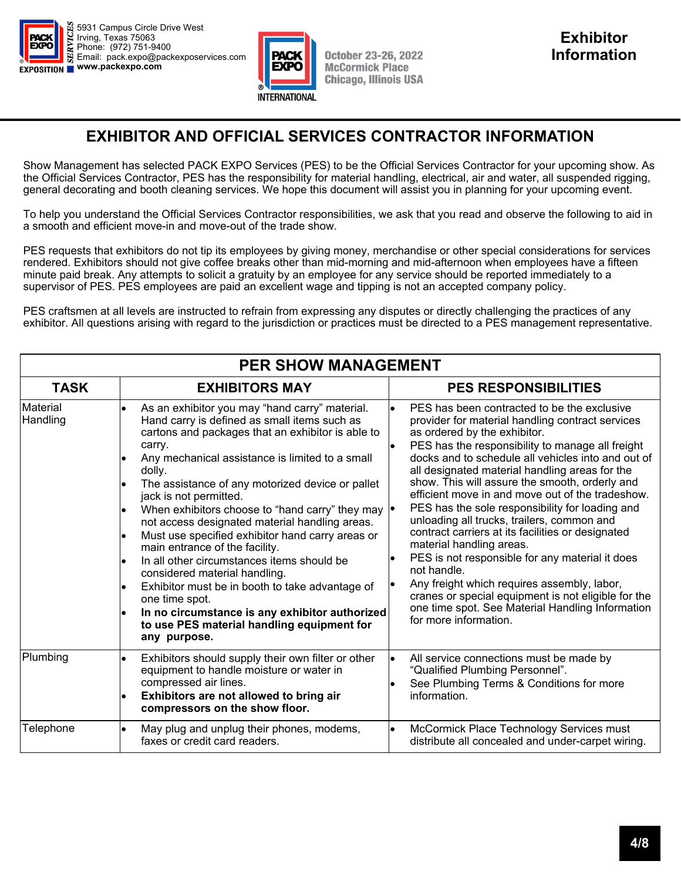



## **EXHIBITOR AND OFFICIAL SERVICES CONTRACTOR INFORMATION**

Show Management has selected PACK EXPO Services (PES) to be the Official Services Contractor for your upcoming show. As the Official Services Contractor, PES has the responsibility for material handling, electrical, air and water, all suspended rigging, general decorating and booth cleaning services. We hope this document will assist you in planning for your upcoming event.

To help you understand the Official Services Contractor responsibilities, we ask that you read and observe the following to aid in a smooth and efficient move-in and move-out of the trade show.

PES requests that exhibitors do not tip its employees by giving money, merchandise or other special considerations for services rendered. Exhibitors should not give coffee breaks other than mid-morning and mid-afternoon when employees have a fifteen minute paid break. Any attempts to solicit a gratuity by an employee for any service should be reported immediately to a supervisor of PES. PES employees are paid an excellent wage and tipping is not an accepted company policy.

PES craftsmen at all levels are instructed to refrain from expressing any disputes or directly challenging the practices of any exhibitor. All questions arising with regard to the jurisdiction or practices must be directed to a PES management representative.

| <b>PER SHOW MANAGEMENT</b>  |                                                                                                                                                                                                                                                                                                                                                                                                                                                                                                                                                                                                                                                                                                                                                                            |                                                                                                                                                                                                                                                                                                                                                                                                                                                                                                                                                                                                                                                                                                                                                                                                                                          |  |  |
|-----------------------------|----------------------------------------------------------------------------------------------------------------------------------------------------------------------------------------------------------------------------------------------------------------------------------------------------------------------------------------------------------------------------------------------------------------------------------------------------------------------------------------------------------------------------------------------------------------------------------------------------------------------------------------------------------------------------------------------------------------------------------------------------------------------------|------------------------------------------------------------------------------------------------------------------------------------------------------------------------------------------------------------------------------------------------------------------------------------------------------------------------------------------------------------------------------------------------------------------------------------------------------------------------------------------------------------------------------------------------------------------------------------------------------------------------------------------------------------------------------------------------------------------------------------------------------------------------------------------------------------------------------------------|--|--|
| <b>TASK</b>                 | <b>EXHIBITORS MAY</b>                                                                                                                                                                                                                                                                                                                                                                                                                                                                                                                                                                                                                                                                                                                                                      | <b>PES RESPONSIBILITIES</b>                                                                                                                                                                                                                                                                                                                                                                                                                                                                                                                                                                                                                                                                                                                                                                                                              |  |  |
| <b>Material</b><br>Handling | As an exhibitor you may "hand carry" material.<br>Hand carry is defined as small items such as<br>cartons and packages that an exhibitor is able to<br>carry.<br>Any mechanical assistance is limited to a small<br>dolly.<br>The assistance of any motorized device or pallet<br>jack is not permitted.<br>When exhibitors choose to "hand carry" they may  .<br>not access designated material handling areas.<br>Must use specified exhibitor hand carry areas or<br>main entrance of the facility.<br>In all other circumstances items should be<br>considered material handling.<br>Exhibitor must be in booth to take advantage of<br>one time spot.<br>In no circumstance is any exhibitor authorized<br>to use PES material handling equipment for<br>any purpose. | PES has been contracted to be the exclusive<br>provider for material handling contract services<br>as ordered by the exhibitor.<br>PES has the responsibility to manage all freight<br>docks and to schedule all vehicles into and out of<br>all designated material handling areas for the<br>show. This will assure the smooth, orderly and<br>efficient move in and move out of the tradeshow.<br>PES has the sole responsibility for loading and<br>unloading all trucks, trailers, common and<br>contract carriers at its facilities or designated<br>material handling areas.<br>PES is not responsible for any material it does<br>not handle.<br>Any freight which requires assembly, labor,<br>cranes or special equipment is not eligible for the<br>one time spot. See Material Handling Information<br>for more information. |  |  |
| Plumbing                    | Exhibitors should supply their own filter or other<br>equipment to handle moisture or water in<br>compressed air lines.<br>Exhibitors are not allowed to bring air<br>compressors on the show floor.                                                                                                                                                                                                                                                                                                                                                                                                                                                                                                                                                                       | l.<br>All service connections must be made by<br>"Qualified Plumbing Personnel".<br>See Plumbing Terms & Conditions for more<br>information.                                                                                                                                                                                                                                                                                                                                                                                                                                                                                                                                                                                                                                                                                             |  |  |
| Telephone                   | May plug and unplug their phones, modems,<br>faxes or credit card readers.                                                                                                                                                                                                                                                                                                                                                                                                                                                                                                                                                                                                                                                                                                 | McCormick Place Technology Services must<br>$\bullet$<br>distribute all concealed and under-carpet wiring.                                                                                                                                                                                                                                                                                                                                                                                                                                                                                                                                                                                                                                                                                                                               |  |  |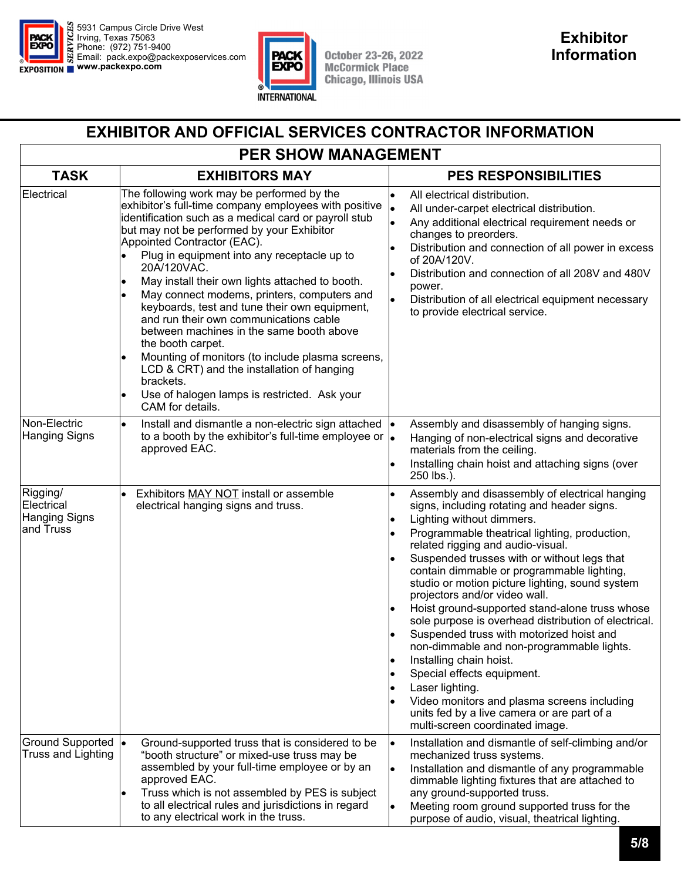



### **EXHIBITOR AND OFFICIAL SERVICES CONTRACTOR INFORMATION**

## **PER SHOW MANAGEMENT**

| <b>TASK</b>                                                 | <b>EXHIBITORS MAY</b>                                                                                                                                                                                                                                                                                                                                                                                                                                                                                                                                                                                                                                                                                                                                    | <b>PES RESPONSIBILITIES</b>                                                                                                                                                                                                                                                                                                                                                                                                                                                                                                                                                                                                                                                                                                                                                                                                    |
|-------------------------------------------------------------|----------------------------------------------------------------------------------------------------------------------------------------------------------------------------------------------------------------------------------------------------------------------------------------------------------------------------------------------------------------------------------------------------------------------------------------------------------------------------------------------------------------------------------------------------------------------------------------------------------------------------------------------------------------------------------------------------------------------------------------------------------|--------------------------------------------------------------------------------------------------------------------------------------------------------------------------------------------------------------------------------------------------------------------------------------------------------------------------------------------------------------------------------------------------------------------------------------------------------------------------------------------------------------------------------------------------------------------------------------------------------------------------------------------------------------------------------------------------------------------------------------------------------------------------------------------------------------------------------|
| Electrical                                                  | The following work may be performed by the<br>exhibitor's full-time company employees with positive<br>identification such as a medical card or payroll stub<br>but may not be performed by your Exhibitor<br>Appointed Contractor (EAC).<br>Plug in equipment into any receptacle up to<br>20A/120VAC.<br>May install their own lights attached to booth.<br>May connect modems, printers, computers and<br>keyboards, test and tune their own equipment,<br>and run their own communications cable<br>between machines in the same booth above<br>the booth carpet.<br>Mounting of monitors (to include plasma screens,<br>LCD & CRT) and the installation of hanging<br>brackets.<br>Use of halogen lamps is restricted. Ask your<br>CAM for details. | All electrical distribution.<br>All under-carpet electrical distribution.<br>Any additional electrical requirement needs or<br>changes to preorders.<br>Distribution and connection of all power in excess<br>of 20A/120V.<br>Distribution and connection of all 208V and 480V<br>power.<br>l.<br>Distribution of all electrical equipment necessary<br>to provide electrical service.                                                                                                                                                                                                                                                                                                                                                                                                                                         |
| Non-Electric<br><b>Hanging Signs</b>                        | Install and dismantle a non-electric sign attached<br>to a booth by the exhibitor's full-time employee or $\cdot$<br>approved EAC.                                                                                                                                                                                                                                                                                                                                                                                                                                                                                                                                                                                                                       | Assembly and disassembly of hanging signs.<br>Hanging of non-electrical signs and decorative<br>materials from the ceiling.<br>Installing chain hoist and attaching signs (over<br>250 lbs.).                                                                                                                                                                                                                                                                                                                                                                                                                                                                                                                                                                                                                                  |
| Rigging/<br>Electrical<br><b>Hanging Signs</b><br>and Truss | Exhibitors MAY NOT install or assemble<br>electrical hanging signs and truss.                                                                                                                                                                                                                                                                                                                                                                                                                                                                                                                                                                                                                                                                            | Assembly and disassembly of electrical hanging<br>$\bullet$<br>signs, including rotating and header signs.<br>Lighting without dimmers.<br>Programmable theatrical lighting, production,<br>related rigging and audio-visual.<br>Suspended trusses with or without legs that<br>contain dimmable or programmable lighting,<br>studio or motion picture lighting, sound system<br>projectors and/or video wall.<br>Hoist ground-supported stand-alone truss whose<br>sole purpose is overhead distribution of electrical.<br>Suspended truss with motorized hoist and<br>non-dimmable and non-programmable lights.<br>Installing chain hoist.<br>Special effects equipment.<br>Laser lighting.<br>Video monitors and plasma screens including<br>units fed by a live camera or are part of a<br>multi-screen coordinated image. |
| <b>Ground Supported</b><br><b>Truss and Lighting</b>        | Ground-supported truss that is considered to be<br><b>le</b><br>"booth structure" or mixed-use truss may be<br>assembled by your full-time employee or by an<br>approved EAC.<br>Truss which is not assembled by PES is subject<br>to all electrical rules and jurisdictions in regard<br>to any electrical work in the truss.                                                                                                                                                                                                                                                                                                                                                                                                                           | Installation and dismantle of self-climbing and/or<br>lo<br>mechanized truss systems.<br>Installation and dismantle of any programmable<br>dimmable lighting fixtures that are attached to<br>any ground-supported truss.<br>Meeting room ground supported truss for the<br>purpose of audio, visual, theatrical lighting.                                                                                                                                                                                                                                                                                                                                                                                                                                                                                                     |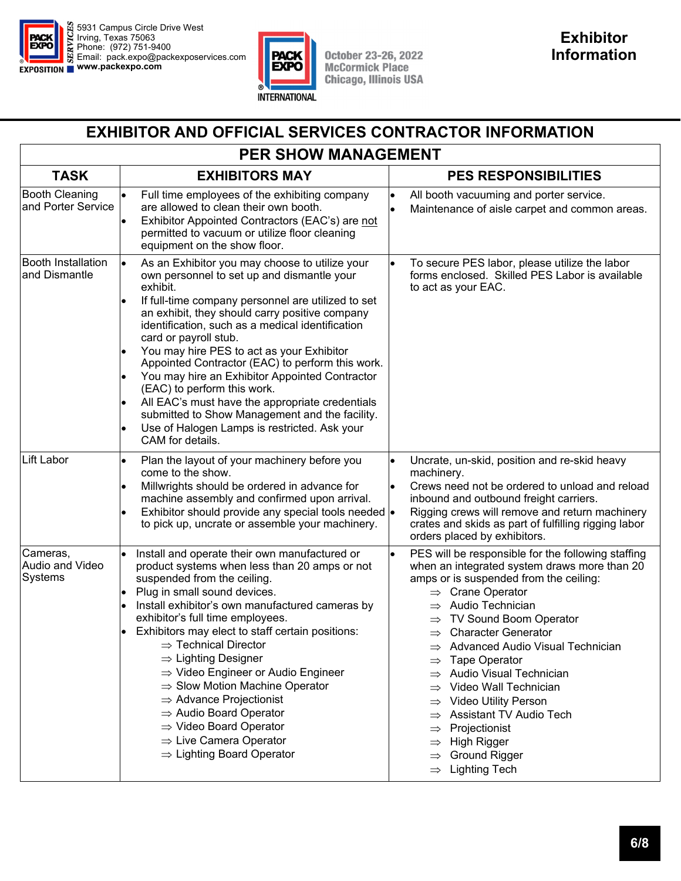



### **EXHIBITOR AND OFFICIAL SERVICES CONTRACTOR INFORMATION**

# **PER SHOW MANAGEMENT**

| <b>TASK</b>                                 | <b>EXHIBITORS MAY</b>                                                                                                                                                                                                                                                                                                                                                                                                                                                                                                                                                                                                                                                                                | <b>PES RESPONSIBILITIES</b>                                                                                                                                                                                                                                                                                                                                                                                                                                                                                                                                                                                                         |  |
|---------------------------------------------|------------------------------------------------------------------------------------------------------------------------------------------------------------------------------------------------------------------------------------------------------------------------------------------------------------------------------------------------------------------------------------------------------------------------------------------------------------------------------------------------------------------------------------------------------------------------------------------------------------------------------------------------------------------------------------------------------|-------------------------------------------------------------------------------------------------------------------------------------------------------------------------------------------------------------------------------------------------------------------------------------------------------------------------------------------------------------------------------------------------------------------------------------------------------------------------------------------------------------------------------------------------------------------------------------------------------------------------------------|--|
| <b>Booth Cleaning</b><br>and Porter Service | Full time employees of the exhibiting company<br>are allowed to clean their own booth.<br>Exhibitor Appointed Contractors (EAC's) are not<br>permitted to vacuum or utilize floor cleaning<br>equipment on the show floor.                                                                                                                                                                                                                                                                                                                                                                                                                                                                           | All booth vacuuming and porter service.<br>Maintenance of aisle carpet and common areas.                                                                                                                                                                                                                                                                                                                                                                                                                                                                                                                                            |  |
| <b>Booth Installation</b><br>and Dismantle  | As an Exhibitor you may choose to utilize your<br>own personnel to set up and dismantle your<br>exhibit.<br>If full-time company personnel are utilized to set<br>lo<br>an exhibit, they should carry positive company<br>identification, such as a medical identification<br>card or payroll stub.<br>You may hire PES to act as your Exhibitor<br>lo<br>Appointed Contractor (EAC) to perform this work.<br>You may hire an Exhibitor Appointed Contractor<br>(EAC) to perform this work.<br>All EAC's must have the appropriate credentials<br>submitted to Show Management and the facility.<br>Use of Halogen Lamps is restricted. Ask your<br>CAM for details.                                 | To secure PES labor, please utilize the labor<br>forms enclosed. Skilled PES Labor is available<br>to act as your EAC.                                                                                                                                                                                                                                                                                                                                                                                                                                                                                                              |  |
| Lift Labor                                  | Plan the layout of your machinery before you<br>come to the show.<br>Millwrights should be ordered in advance for<br>lo<br>machine assembly and confirmed upon arrival.<br>Exhibitor should provide any special tools needed  .<br>to pick up, uncrate or assemble your machinery.                                                                                                                                                                                                                                                                                                                                                                                                                   | Uncrate, un-skid, position and re-skid heavy<br>machinery.<br>Crews need not be ordered to unload and reload<br>inbound and outbound freight carriers.<br>Rigging crews will remove and return machinery<br>crates and skids as part of fulfilling rigging labor<br>orders placed by exhibitors.                                                                                                                                                                                                                                                                                                                                    |  |
| Cameras,<br>Audio and Video<br>Systems      | Install and operate their own manufactured or<br>product systems when less than 20 amps or not<br>suspended from the ceiling.<br>Plug in small sound devices.<br>lo<br>Install exhibitor's own manufactured cameras by<br>exhibitor's full time employees.<br>Exhibitors may elect to staff certain positions:<br>$\bullet$<br>$\Rightarrow$ Technical Director<br>$\Rightarrow$ Lighting Designer<br>$\Rightarrow$ Video Engineer or Audio Engineer<br>$\Rightarrow$ Slow Motion Machine Operator<br>$\Rightarrow$ Advance Projectionist<br>$\Rightarrow$ Audio Board Operator<br>$\Rightarrow$ Video Board Operator<br>$\Rightarrow$ Live Camera Operator<br>$\Rightarrow$ Lighting Board Operator | PES will be responsible for the following staffing<br>when an integrated system draws more than 20<br>amps or is suspended from the ceiling:<br>$\Rightarrow$ Crane Operator<br>Audio Technician<br>$\Rightarrow$<br>$\Rightarrow$ TV Sound Boom Operator<br><b>Character Generator</b><br>$\Rightarrow$<br>Advanced Audio Visual Technician<br>$\Rightarrow$ Tape Operator<br>Audio Visual Technician<br>Video Wall Technician<br><b>Video Utility Person</b><br>Assistant TV Audio Tech<br>Projectionist<br><b>High Rigger</b><br>$\Rightarrow$<br><b>Ground Rigger</b><br>$\Rightarrow$<br><b>Lighting Tech</b><br>$\Rightarrow$ |  |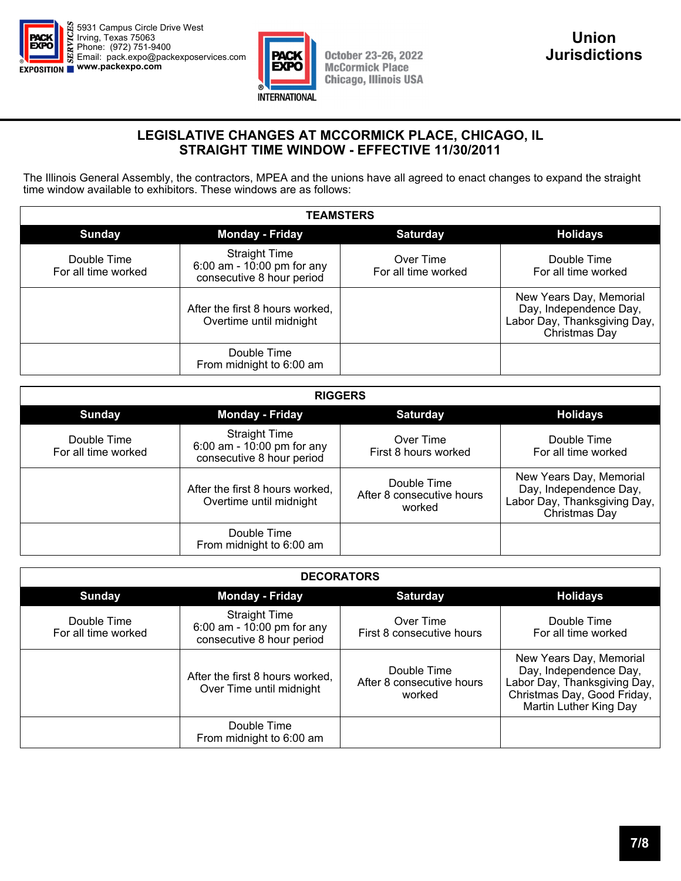



#### **LEGISLATIVE CHANGES AT MCCORMICK PLACE, CHICAGO, IL STRAIGHT TIME WINDOW - EFFECTIVE 11/30/2011**

The Illinois General Assembly, the contractors, MPEA and the unions have all agreed to enact changes to expand the straight time window available to exhibitors. These windows are as follows:

| <b>TEAMSTERS</b>                   |                                                                                 |                                  |                                                                                                    |  |
|------------------------------------|---------------------------------------------------------------------------------|----------------------------------|----------------------------------------------------------------------------------------------------|--|
| <b>Sunday</b>                      | <b>Monday - Friday</b>                                                          | <b>Saturday</b>                  | <b>Holidays</b>                                                                                    |  |
| Double Time<br>For all time worked | <b>Straight Time</b><br>6:00 am - 10:00 pm for any<br>consecutive 8 hour period | Over Time<br>For all time worked | Double Time<br>For all time worked                                                                 |  |
|                                    | After the first 8 hours worked,<br>Overtime until midnight                      |                                  | New Years Day, Memorial<br>Day, Independence Day,<br>Labor Day, Thanksgiving Day,<br>Christmas Day |  |
|                                    | Double Time<br>From midnight to 6:00 am                                         |                                  |                                                                                                    |  |

| <b>RIGGERS</b>                     |                                                                                 |                                                    |                                                                                                    |  |
|------------------------------------|---------------------------------------------------------------------------------|----------------------------------------------------|----------------------------------------------------------------------------------------------------|--|
| <b>Sunday</b>                      | <b>Monday - Friday</b>                                                          | <b>Saturday</b>                                    | <b>Holidays</b>                                                                                    |  |
| Double Time<br>For all time worked | <b>Straight Time</b><br>6:00 am - 10:00 pm for any<br>consecutive 8 hour period | Over Time<br>First 8 hours worked                  | Double Time<br>For all time worked                                                                 |  |
|                                    | After the first 8 hours worked,<br>Overtime until midnight                      | Double Time<br>After 8 consecutive hours<br>worked | New Years Day, Memorial<br>Day, Independence Day,<br>Labor Day, Thanksgiving Day,<br>Christmas Day |  |
|                                    | Double Time<br>From midnight to 6:00 am                                         |                                                    |                                                                                                    |  |

| <b>DECORATORS</b>                  |                                                                                 |                                                    |                                                                                                                                            |
|------------------------------------|---------------------------------------------------------------------------------|----------------------------------------------------|--------------------------------------------------------------------------------------------------------------------------------------------|
| <b>Sunday</b>                      | <b>Monday - Friday</b>                                                          | <b>Saturday</b>                                    | <b>Holidays</b>                                                                                                                            |
| Double Time<br>For all time worked | <b>Straight Time</b><br>6:00 am - 10:00 pm for any<br>consecutive 8 hour period | Over Time<br>First 8 consecutive hours             | Double Time<br>For all time worked                                                                                                         |
|                                    | After the first 8 hours worked,<br>Over Time until midnight                     | Double Time<br>After 8 consecutive hours<br>worked | New Years Day, Memorial<br>Day, Independence Day,<br>Labor Day, Thanksgiving Day,<br>Christmas Day, Good Friday,<br>Martin Luther King Day |
|                                    | Double Time<br>From midnight to 6:00 am                                         |                                                    |                                                                                                                                            |